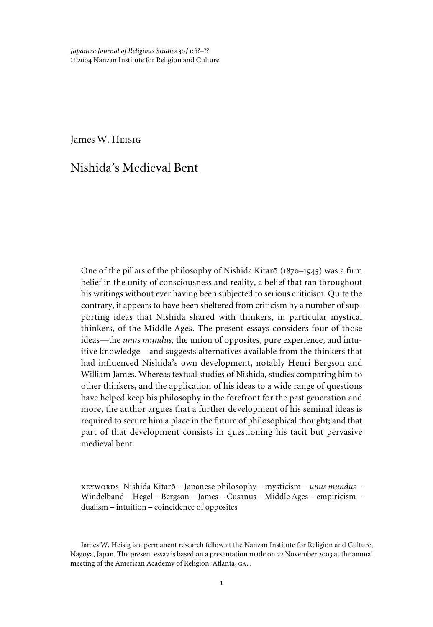*Japanese Journal of Religious Studies* 30/1: ??–?? © 2004 Nanzan Institute for Religion and Culture

James W. Heisig

# Nishida's Medieval Bent

One of the pillars of the philosophy of Nishida Kitarō ( $1870-1945$ ) was a firm belief in the unity of consciousness and reality, a belief that ran throughout his writings without ever having been subjected to serious criticism. Quite the contrary, it appears to have been sheltered from criticism by a number of supporting ideas that Nishida shared with thinkers, in particular mystical thinkers, of the Middle Ages. The present essays considers four of those ideas—the *unus mundus,* the union of opposites, pure experience, and intuitive knowledge—and suggests alternatives available from the thinkers that had influenced Nishida's own development, notably Henri Bergson and William James. Whereas textual studies of Nishida, studies comparing him to other thinkers, and the application of his ideas to a wide range of questions have helped keep his philosophy in the forefront for the past generation and more, the author argues that a further development of his seminal ideas is required to secure him a place in the future of philosophical thought; and that part of that development consists in questioning his tacit but pervasive medieval bent.

keywords: Nishida Kitarõ – Japanese philosophy – mysticism – *unus mundus* – Windelband – Hegel – Bergson – James – Cusanus – Middle Ages – empiricism – dualism – intuition – coincidence of opposites

James W. Heisig is a permanent research fellow at the Nanzan Institute for Religion and Culture, Nagoya, Japan. The present essay is based on a presentation made on 22 November 2003 at the annual meeting of the American Academy of Religion, Atlanta, ga, .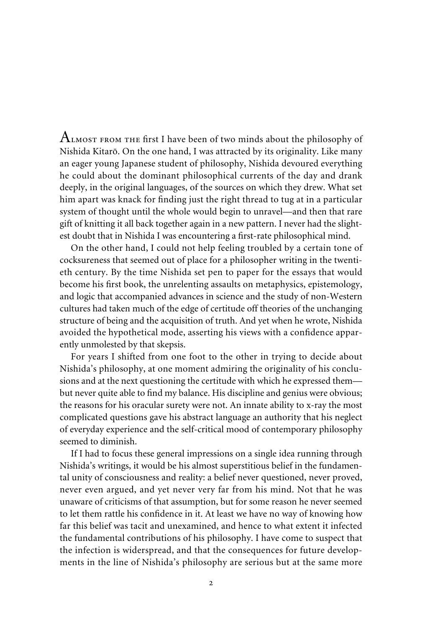$\rm A$ LMOST FROM THE first I have been of two minds about the philosophy of Nishida Kitarõ. On the one hand, I was attracted by its originality. Like many an eager young Japanese student of philosophy, Nishida devoured everything he could about the dominant philosophical currents of the day and drank deeply, in the original languages, of the sources on which they drew. What set him apart was knack for finding just the right thread to tug at in a particular system of thought until the whole would begin to unravel—and then that rare gift of knitting it all back together again in a new pattern. I never had the slightest doubt that in Nishida I was encountering a first-rate philosophical mind.

On the other hand, I could not help feeling troubled by a certain tone of cocksureness that seemed out of place for a philosopher writing in the twentieth century. By the time Nishida set pen to paper for the essays that would become his first book, the unrelenting assaults on metaphysics, epistemology, and logic that accompanied advances in science and the study of non-Western cultures had taken much of the edge of certitude off theories of the unchanging structure of being and the acquisition of truth. And yet when he wrote, Nishida avoided the hypothetical mode, asserting his views with a confidence apparently unmolested by that skepsis.

For years I shifted from one foot to the other in trying to decide about Nishida's philosophy, at one moment admiring the originality of his conclusions and at the next questioning the certitude with which he expressed them but never quite able to find my balance. His discipline and genius were obvious; the reasons for his oracular surety were not. An innate ability to x-ray the most complicated questions gave his abstract language an authority that his neglect of everyday experience and the self-critical mood of contemporary philosophy seemed to diminish.

If I had to focus these general impressions on a single idea running through Nishida's writings, it would be his almost superstitious belief in the fundamental unity of consciousness and reality: a belief never questioned, never proved, never even argued, and yet never very far from his mind. Not that he was unaware of criticisms of that assumption, but for some reason he never seemed to let them rattle his confidence in it. At least we have no way of knowing how far this belief was tacit and unexamined, and hence to what extent it infected the fundamental contributions of his philosophy. I have come to suspect that the infection is widerspread, and that the consequences for future developments in the line of Nishida's philosophy are serious but at the same more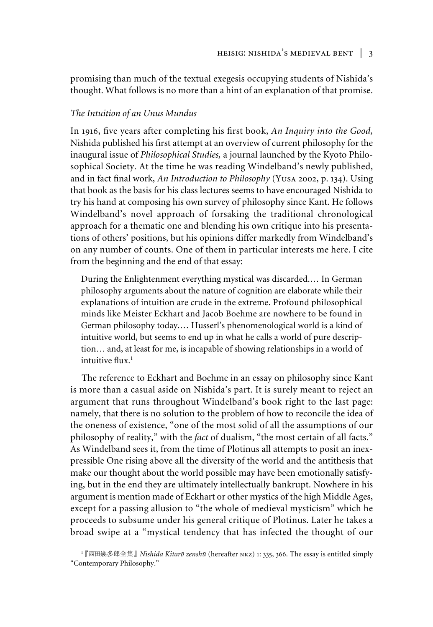promising than much of the textual exegesis occupying students of Nishida's thought. What follows is no more than a hint of an explanation of that promise.

## *The Intuition of an Unus Mundus*

In 1916, five years after completing his first book, *An Inquiry into the Good*, Nishida published his first attempt at an overview of current philosophy for the inaugural issue of *Philosophical Studies,* a journal launched by the Kyoto Philosophical Society. At the time he was reading Windelband's newly published, and in fact final work, *An Introduction to Philosophy* (Yusa 2002, p. 134). Using that book as the basis for his class lectures seems to have encouraged Nishida to try his hand at composing his own survey of philosophy since Kant. He follows Windelband's novel approach of forsaking the traditional chronological approach for a thematic one and blending his own critique into his presentations of others' positions, but his opinions differ markedly from Windelband's on any number of counts. One of them in particular interests me here. I cite from the beginning and the end of that essay:

During the Enlightenment everything mystical was discarded.… In German philosophy arguments about the nature of cognition are elaborate while their explanations of intuition are crude in the extreme. Profound philosophical minds like Meister Eckhart and Jacob Boehme are nowhere to be found in German philosophy today.… Husserl's phenomenological world is a kind of intuitive world, but seems to end up in what he calls a world of pure description… and, at least for me, is incapable of showing relationships in a world of intuitive  $\text{flux}^{-1}$ 

The reference to Eckhart and Boehme in an essay on philosophy since Kant is more than a casual aside on Nishida's part. It is surely meant to reject an argument that runs throughout Windelband's book right to the last page: namely, that there is no solution to the problem of how to reconcile the idea of the oneness of existence, "one of the most solid of all the assumptions of our philosophy of reality," with the *fact* of dualism, "the most certain of all facts." As Windelband sees it, from the time of Plotinus all attempts to posit an inexpressible One rising above all the diversity of the world and the antithesis that make our thought about the world possible may have been emotionally satisfying, but in the end they are ultimately intellectually bankrupt. Nowhere in his argument is mention made of Eckhart or other mystics of the high Middle Ages, except for a passing allusion to "the whole of medieval mysticism" which he proceeds to subsume under his general critique of Plotinus. Later he takes a broad swipe at a "mystical tendency that has infected the thought of our

<sup>&</sup>lt;sup>1</sup> 『西田幾多郎全集』 *Nishida Kitarō zenshū* (hereafter NKZ) 1: 335, 366. The essay is entitled simply "Contemporary Philosophy."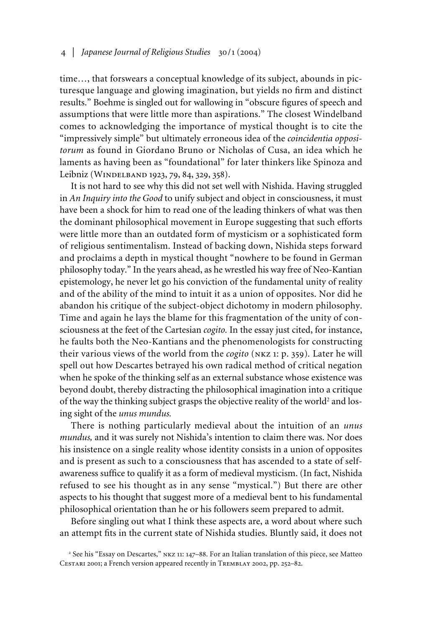time…, that forswears a conceptual knowledge of its subject, abounds in picturesque language and glowing imagination, but yields no firm and distinct results." Boehme is singled out for wallowing in "obscure figures of speech and assumptions that were little more than aspirations." The closest Windelband comes to acknowledging the importance of mystical thought is to cite the "impressively simple" but ultimately erroneous idea of the *coincidentia oppositorum* as found in Giordano Bruno or Nicholas of Cusa, an idea which he laments as having been as "foundational" for later thinkers like Spinoza and Leibniz (Windelband 1923, 79, 84, 329, 358).

It is not hard to see why this did not set well with Nishida. Having struggled in *An Inquiry into the Good* to unify subject and object in consciousness, it must have been a shock for him to read one of the leading thinkers of what was then the dominant philosophical movement in Europe suggesting that such efforts were little more than an outdated form of mysticism or a sophisticated form of religious sentimentalism. Instead of backing down, Nishida steps forward and proclaims a depth in mystical thought "nowhere to be found in German philosophy today." In the years ahead, as he wrestled his way free of Neo-Kantian epistemology, he never let go his conviction of the fundamental unity of reality and of the ability of the mind to intuit it as a union of opposites. Nor did he abandon his critique of the subject-object dichotomy in modern philosophy. Time and again he lays the blame for this fragmentation of the unity of consciousness at the feet of the Cartesian *cogito.* In the essay just cited, for instance, he faults both the Neo-Kantians and the phenomenologists for constructing their various views of the world from the *cogito* (nkz 1: p. 359)*.* Later he will spell out how Descartes betrayed his own radical method of critical negation when he spoke of the thinking self as an external substance whose existence was beyond doubt, thereby distracting the philosophical imagination into a critique of the way the thinking subject grasps the objective reality of the world<sup>2</sup> and losing sight of the *unus mundus.*

There is nothing particularly medieval about the intuition of an *unus mundus,* and it was surely not Nishida's intention to claim there was. Nor does his insistence on a single reality whose identity consists in a union of opposites and is present as such to a consciousness that has ascended to a state of selfawareness suffice to qualify it as a form of medieval mysticism. (In fact, Nishida refused to see his thought as in any sense "mystical.") But there are other aspects to his thought that suggest more of a medieval bent to his fundamental philosophical orientation than he or his followers seem prepared to admit.

Before singling out what I think these aspects are, a word about where such an attempt fits in the current state of Nishida studies. Bluntly said, it does not

<sup>&</sup>lt;sup>2</sup> See his "Essay on Descartes," NKZ 11: 147-88. For an Italian translation of this piece, see Matteo Cestari 2001; a French version appeared recently in Tremblay 2002, pp. 252–82.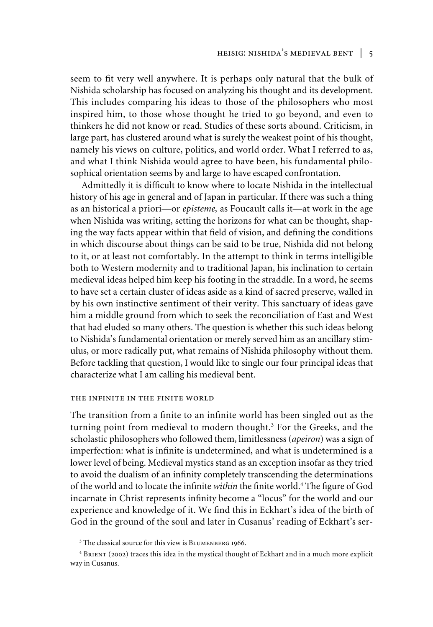# heisig: nishida's medieval bent | 5

seem to fit very well anywhere. It is perhaps only natural that the bulk of Nishida scholarship has focused on analyzing his thought and its development. This includes comparing his ideas to those of the philosophers who most inspired him, to those whose thought he tried to go beyond, and even to thinkers he did not know or read. Studies of these sorts abound. Criticism, in large part, has clustered around what is surely the weakest point of his thought, namely his views on culture, politics, and world order. What I referred to as, and what I think Nishida would agree to have been, his fundamental philosophical orientation seems by and large to have escaped confrontation.

Admittedly it is difficult to know where to locate Nishida in the intellectual history of his age in general and of Japan in particular. If there was such a thing as an historical a priori—or *episteme,* as Foucault calls it—at work in the age when Nishida was writing, setting the horizons for what can be thought, shaping the way facts appear within that field of vision, and defining the conditions in which discourse about things can be said to be true, Nishida did not belong to it, or at least not comfortably. In the attempt to think in terms intelligible both to Western modernity and to traditional Japan, his inclination to certain medieval ideas helped him keep his footing in the straddle. In a word, he seems to have set a certain cluster of ideas aside as a kind of sacred preserve, walled in by his own instinctive sentiment of their verity. This sanctuary of ideas gave him a middle ground from which to seek the reconciliation of East and West that had eluded so many others. The question is whether this such ideas belong to Nishida's fundamental orientation or merely served him as an ancillary stimulus, or more radically put, what remains of Nishida philosophy without them. Before tackling that question, I would like to single our four principal ideas that characterize what I am calling his medieval bent.

### the infinite in the finite world

The transition from a finite to an infinite world has been singled out as the turning point from medieval to modern thought.<sup>3</sup> For the Greeks, and the scholastic philosophers who followed them, limitlessness (*apeiron*) was a sign of imperfection: what is infinite is undetermined, and what is undetermined is a lower level of being. Medieval mystics stand as an exception insofar as they tried to avoid the dualism of an infinity completely transcending the determinations of the world and to locate the infinite *within* the finite world.<sup>4</sup> The figure of God incarnate in Christ represents infinity become a "locus" for the world and our experience and knowledge of it. We find this in Eckhart's idea of the birth of God in the ground of the soul and later in Cusanus' reading of Eckhart's ser-

<sup>&</sup>lt;sup>3</sup> The classical source for this view is BLUMENBERG 1966.

<sup>4</sup> Brient (2002) traces this idea in the mystical thought of Eckhart and in a much more explicit way in Cusanus.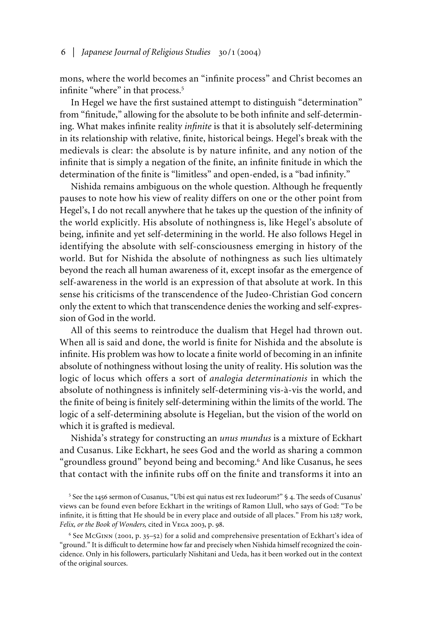## 6 | *Japanese Journal of Religious Studies* 30/1 (2004)

mons, where the world becomes an "infinite process" and Christ becomes an infinite "where" in that process.<sup>5</sup>

In Hegel we have the first sustained attempt to distinguish "determination" from "finitude," allowing for the absolute to be both infinite and self-determining. What makes infinite reality *infinite* is that it is absolutely self-determining in its relationship with relative, finite, historical beings. Hegel's break with the medievals is clear: the absolute is by nature infinite, and any notion of the infinite that is simply a negation of the finite, an infinite finitude in which the determination of the finite is "limitless" and open-ended, is a "bad infinity."

Nishida remains ambiguous on the whole question. Although he frequently pauses to note how his view of reality differs on one or the other point from Hegel's, I do not recall anywhere that he takes up the question of the infinity of the world explicitly. His absolute of nothingness is, like Hegel's absolute of being, infinite and yet self-determining in the world. He also follows Hegel in identifying the absolute with self-consciousness emerging in history of the world. But for Nishida the absolute of nothingness as such lies ultimately beyond the reach all human awareness of it, except insofar as the emergence of self-awareness in the world is an expression of that absolute at work. In this sense his criticisms of the transcendence of the Judeo-Christian God concern only the extent to which that transcendence denies the working and self-expression of God in the world.

All of this seems to reintroduce the dualism that Hegel had thrown out. When all is said and done, the world is finite for Nishida and the absolute is infinite. His problem was how to locate a finite world of becoming in an infinite absolute of nothingness without losing the unity of reality. His solution was the logic of locus which offers a sort of *analogia determinationis* in which the absolute of nothingness is infinitely self-determining vis-à-vis the world, and the finite of being is finitely self-determining within the limits of the world. The logic of a self-determining absolute is Hegelian, but the vision of the world on which it is grafted is medieval.

Nishida's strategy for constructing an *unus mundus* is a mixture of Eckhart and Cusanus. Like Eckhart, he sees God and the world as sharing a common "groundless ground" beyond being and becoming.<sup>6</sup> And like Cusanus, he sees that contact with the infinite rubs off on the finite and transforms it into an

<sup>5</sup> See the 1456 sermon of Cusanus, "Ubi est qui natus est rex Iudeorum?" § 4. The seeds of Cusanus' views can be found even before Eckhart in the writings of Ramon Llull, who says of God: "To be infinite, it is fitting that He should be in every place and outside of all places." From his 1287 work, *Felix, or the Book of Wonders,* cited in Vega 2003, p. 98.

6 See McGinn (2001, p. 35–52) for a solid and comprehensive presentation of Eckhart's idea of "ground." It is difficult to determine how far and precisely when Nishida himself recognized the coincidence. Only in his followers, particularly Nishitani and Ueda, has it been worked out in the context of the original sources.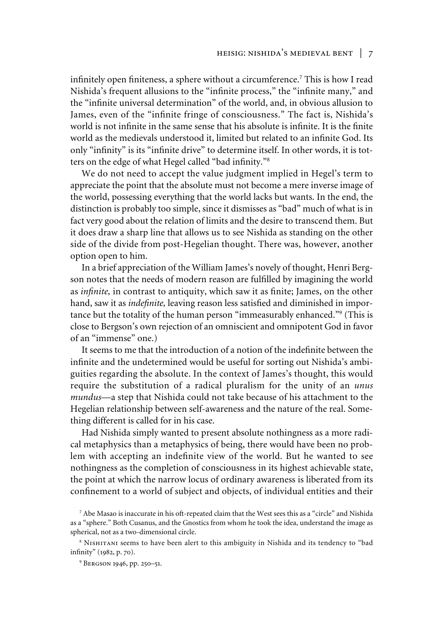infinitely open finiteness, a sphere without a circumference.<sup>7</sup> This is how I read Nishida's frequent allusions to the "infinite process," the "infinite many," and the "infinite universal determination" of the world, and, in obvious allusion to James, even of the "infinite fringe of consciousness." The fact is, Nishida's world is not infinite in the same sense that his absolute is infinite. It is the finite world as the medievals understood it, limited but related to an infinite God. Its only "infinity" is its "infinite drive" to determine itself. In other words, it is totters on the edge of what Hegel called "bad infinity."<sup>8</sup>

We do not need to accept the value judgment implied in Hegel's term to appreciate the point that the absolute must not become a mere inverse image of the world, possessing everything that the world lacks but wants. In the end, the distinction is probably too simple, since it dismisses as "bad" much of what is in fact very good about the relation of limits and the desire to transcend them. But it does draw a sharp line that allows us to see Nishida as standing on the other side of the divide from post-Hegelian thought. There was, however, another option open to him.

In a brief appreciation of the William James's novely of thought, Henri Bergson notes that the needs of modern reason are fulfilled by imagining the world as *infinite*, in contrast to antiquity, which saw it as finite; James, on the other hand, saw it as *indefinite*, leaving reason less satisfied and diminished in importance but the totality of the human person "immeasurably enhanced."<sup>9</sup> (This is close to Bergson's own rejection of an omniscient and omnipotent God in favor of an "immense" one.)

It seems to me that the introduction of a notion of the indefinite between the infinite and the undetermined would be useful for sorting out Nishida's ambiguities regarding the absolute. In the context of James's thought, this would require the substitution of a radical pluralism for the unity of an *unus mundus*—a step that Nishida could not take because of his attachment to the Hegelian relationship between self-awareness and the nature of the real. Something different is called for in his case.

Had Nishida simply wanted to present absolute nothingness as a more radical metaphysics than a metaphysics of being, there would have been no problem with accepting an indefinite view of the world. But he wanted to see nothingness as the completion of consciousness in its highest achievable state, the point at which the narrow locus of ordinary awareness is liberated from its confinement to a world of subject and objects, of individual entities and their

<sup>7</sup> Abe Masao is inaccurate in his oft-repeated claim that the West sees this as a "circle" and Nishida as a "sphere." Both Cusanus, and the Gnostics from whom he took the idea, understand the image as spherical, not as a two-dimensional circle.

<sup>&</sup>lt;sup>8</sup> NISHITANI seems to have been alert to this ambiguity in Nishida and its tendency to "bad infinity" (1982, p. 70).

<sup>&</sup>lt;sup>9</sup> BERGSON 1946, pp. 250-51.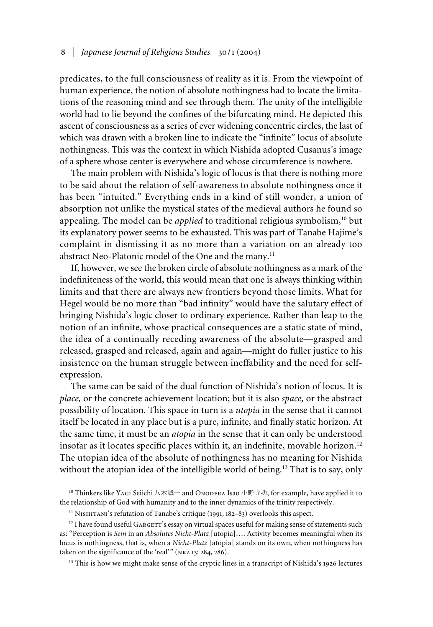### 8 | *Japanese Journal of Religious Studies* 30/1 (2004)

predicates, to the full consciousness of reality as it is. From the viewpoint of human experience, the notion of absolute nothingness had to locate the limitations of the reasoning mind and see through them. The unity of the intelligible world had to lie beyond the confines of the bifurcating mind. He depicted this ascent of consciousness as a series of ever widening concentric circles, the last of which was drawn with a broken line to indicate the "infinite" locus of absolute nothingness. This was the context in which Nishida adopted Cusanus's image of a sphere whose center is everywhere and whose circumference is nowhere.

The main problem with Nishida's logic of locus is that there is nothing more to be said about the relation of self-awareness to absolute nothingness once it has been "intuited." Everything ends in a kind of still wonder, a union of absorption not unlike the mystical states of the medieval authors he found so appealing. The model can be *applied* to traditional religious symbolism,<sup>10</sup> but its explanatory power seems to be exhausted. This was part of Tanabe Hajime's complaint in dismissing it as no more than a variation on an already too abstract Neo-Platonic model of the One and the many.<sup>11</sup>

If, however, we see the broken circle of absolute nothingness as a mark of the indefiniteness of the world, this would mean that one is always thinking within limits and that there are always new frontiers beyond those limits. What for Hegel would be no more than "bad infinity" would have the salutary effect of bringing Nishida's logic closer to ordinary experience. Rather than leap to the notion of an infinite, whose practical consequences are a static state of mind, the idea of a continually receding awareness of the absolute—grasped and released, grasped and released, again and again—might do fuller justice to his insistence on the human struggle between ineffability and the need for selfexpression.

The same can be said of the dual function of Nishida's notion of locus. It is *place,* or the concrete achievement location; but it is also *space,* or the abstract possibility of location. This space in turn is a *utopia* in the sense that it cannot itself be located in any place but is a pure, infinite, and finally static horizon. At the same time, it must be an *atopia* in the sense that it can only be understood insofar as it locates specific places within it, an indefinite, movable horizon.<sup>12</sup> The utopian idea of the absolute of nothingness has no meaning for Nishida without the atopian idea of the intelligible world of being.<sup>13</sup> That is to say, only

<sup>10</sup> Thinkers like YAGI Seiichi 八木誠一 and ONODERA Isao 小野寺功, for example, have applied it to the relationship of God with humanity and to the inner dynamics of the trinity respectively.

<sup>11</sup> NISHITANI's refutation of Tanabe's critique (1991, 182-83) overlooks this aspect.

<sup>12</sup> I have found useful GARGETT's essay on virtual spaces useful for making sense of statements such as: "Perception is *Sein* in an *Absolutes Nicht-Platz* [utopia]…. Activity becomes meaningful when its locus is nothingness, that is, when a *Nicht-Platz* [atopia] stands on its own, when nothingness has taken on the significance of the 'real'" (NKZ 13: 284, 286).

<sup>13</sup> This is how we might make sense of the cryptic lines in a transcript of Nishida's 1926 lectures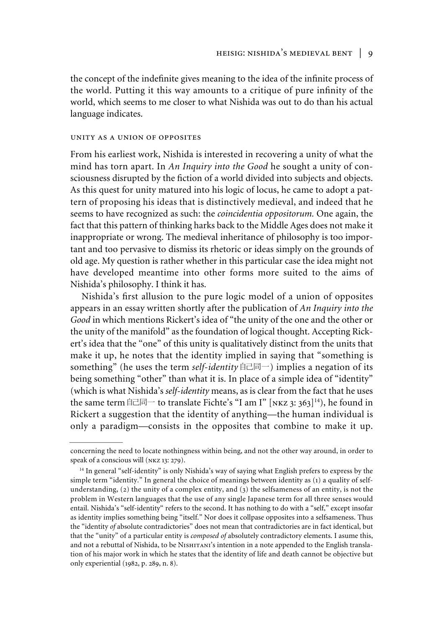the concept of the indefinite gives meaning to the idea of the infinite process of the world. Putting it this way amounts to a critique of pure infinity of the world, which seems to me closer to what Nishida was out to do than his actual language indicates.

#### unity as a union of opposites

From his earliest work, Nishida is interested in recovering a unity of what the mind has torn apart. In *An Inquiry into the Good* he sought a unity of consciousness disrupted by the fiction of a world divided into subjects and objects. As this quest for unity matured into his logic of locus, he came to adopt a pattern of proposing his ideas that is distinctively medieval, and indeed that he seems to have recognized as such: the *coincidentia oppositorum.* One again, the fact that this pattern of thinking harks back to the Middle Ages does not make it inappropriate or wrong. The medieval inheritance of philosophy is too important and too pervasive to dismiss its rhetoric or ideas simply on the grounds of old age. My question is rather whether in this particular case the idea might not have developed meantime into other forms more suited to the aims of Nishida's philosophy. I think it has.

Nishida's first allusion to the pure logic model of a union of opposites appears in an essay written shortly after the publication of *An Inquiry into the Good* in which mentions Rickert's idea of "the unity of the one and the other or the unity of the manifold" as the foundation of logical thought. Accepting Rickert's idea that the "one" of this unity is qualitatively distinct from the units that make it up, he notes that the identity implied in saying that "something is something" (he uses the term *self-identity*  $\exists \exists \exists \neg$ ) implies a negation of its being something "other" than what it is. In place of a simple idea of "identity" (which is what Nishida's *self-identity* means, as is clear from the fact that he uses the same term  $\hat{\equiv}$   $\equiv$  to translate Fichte's "I am I" [NKZ 3: 363]<sup>14</sup>), he found in Rickert a suggestion that the identity of anything—the human individual is only a paradigm—consists in the opposites that combine to make it up.

concerning the need to locate nothingness within being, and not the other way around, in order to speak of a conscious will (nkz 13: 279).

<sup>&</sup>lt;sup>14</sup> In general "self-identity" is only Nishida's way of saying what English prefers to express by the simple term "identity." In general the choice of meanings between identity as (1) a quality of selfunderstanding, (2) the unity of a complex entity, and (3) the selfsameness of an entity, is not the problem in Western languages that the use of any single Japanese term for all three senses would entail. Nishida's "self-identity" refers to the second. It has nothing to do with a "self," except insofar as identity implies something being "itself." Nor does it collpase opposites into a selfsameness. Thus the "identity *of* absolute contradictories" does not mean that contradictories are in fact identical, but that the "unity" of a particular entity is *composed of* absolutely contradictory elements. I asume this, and not a rebuttal of Nishida, to be NISHITANI's intention in a note appended to the English translation of his major work in which he states that the identity of life and death cannot be objective but only experiential (1982, p. 289, n. 8).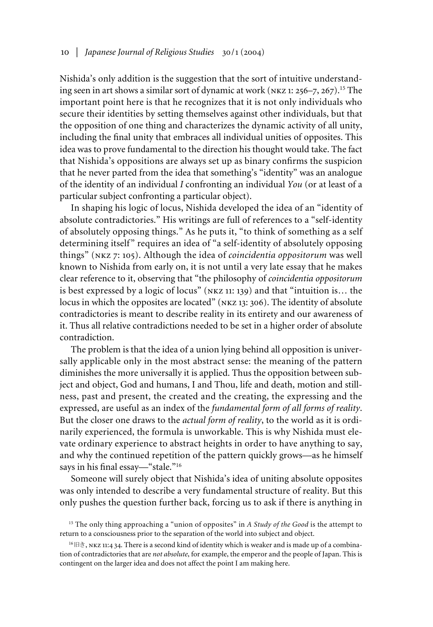Nishida's only addition is the suggestion that the sort of intuitive understanding seen in art shows a similar sort of dynamic at work ( $NKZ$  1: 256–7, 267).<sup>15</sup> The important point here is that he recognizes that it is not only individuals who secure their identities by setting themselves against other individuals, but that the opposition of one thing and characterizes the dynamic activity of all unity, including the final unity that embraces all individual unities of opposites. This idea was to prove fundamental to the direction his thought would take. The fact that Nishida's oppositions are always set up as binary confirms the suspicion that he never parted from the idea that something's "identity" was an analogue of the identity of an individual *I* confronting an individual *You* (or at least of a particular subject confronting a particular object).

In shaping his logic of locus, Nishida developed the idea of an "identity of absolute contradictories." His writings are full of references to a "self-identity of absolutely opposing things." As he puts it, "to think of something as a self determining itself" requires an idea of "a self-identity of absolutely opposing things" (nkz 7: 105). Although the idea of *coincidentia oppositorum* was well known to Nishida from early on, it is not until a very late essay that he makes clear reference to it, observing that "the philosophy of *coincidentia oppositorum* is best expressed by a logic of locus" (nkz 11: 139) and that "intuition is… the locus in which the opposites are located" (nkz 13: 306). The identity of absolute contradictories is meant to describe reality in its entirety and our awareness of it. Thus all relative contradictions needed to be set in a higher order of absolute contradiction.

The problem is that the idea of a union lying behind all opposition is universally applicable only in the most abstract sense: the meaning of the pattern diminishes the more universally it is applied. Thus the opposition between subject and object, God and humans, I and Thou, life and death, motion and stillness, past and present, the created and the creating, the expressing and the expressed, are useful as an index of the *fundamental form of all forms of reality*. But the closer one draws to the *actual form of reality*, to the world as it is ordinarily experienced, the formula is unworkable. This is why Nishida must elevate ordinary experience to abstract heights in order to have anything to say, and why the continued repetition of the pattern quickly grows—as he himself says in his final essay—"stale."<sup>16</sup>

Someone will surely object that Nishida's idea of uniting absolute opposites was only intended to describe a very fundamental structure of reality. But this only pushes the question further back, forcing us to ask if there is anything in

<sup>&</sup>lt;sup>15</sup> The only thing approaching a "union of opposites" in *A Study of the Good* is the attempt to return to a consciousness prior to the separation of the world into subject and object.

<sup>16</sup> 旧き, NKZ 11:4 34. There is a second kind of identity which is weaker and is made up of a combination of contradictories that are *not absolute*, for example, the emperor and the people of Japan. This is contingent on the larger idea and does not affect the point I am making here.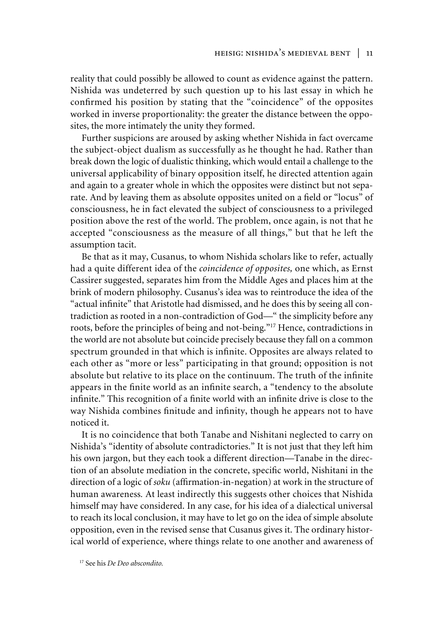reality that could possibly be allowed to count as evidence against the pattern. Nishida was undeterred by such question up to his last essay in which he confirmed his position by stating that the "coincidence" of the opposites worked in inverse proportionality: the greater the distance between the opposites, the more intimately the unity they formed.

Further suspicions are aroused by asking whether Nishida in fact overcame the subject-object dualism as successfully as he thought he had. Rather than break down the logic of dualistic thinking, which would entail a challenge to the universal applicability of binary opposition itself, he directed attention again and again to a greater whole in which the opposites were distinct but not separate. And by leaving them as absolute opposites united on a field or "locus" of consciousness, he in fact elevated the subject of consciousness to a privileged position above the rest of the world. The problem, once again, is not that he accepted "consciousness as the measure of all things," but that he left the assumption tacit.

Be that as it may, Cusanus, to whom Nishida scholars like to refer, actually had a quite different idea of the *coincidence of opposites,* one which, as Ernst Cassirer suggested, separates him from the Middle Ages and places him at the brink of modern philosophy. Cusanus's idea was to reintroduce the idea of the "actual infinite" that Aristotle had dismissed, and he does this by seeing all contradiction as rooted in a non-contradiction of God—" the simplicity before any roots, before the principles of being and not-being."<sup>17</sup> Hence, contradictions in the world are not absolute but coincide precisely because they fall on a common spectrum grounded in that which is infinite. Opposites are always related to each other as "more or less" participating in that ground; opposition is not absolute but relative to its place on the continuum. The truth of the infinite appears in the finite world as an infinite search, a "tendency to the absolute infinite." This recognition of a finite world with an infinite drive is close to the way Nishida combines finitude and infinity, though he appears not to have noticed it.

It is no coincidence that both Tanabe and Nishitani neglected to carry on Nishida's "identity of absolute contradictories." It is not just that they left him his own jargon, but they each took a different direction—Tanabe in the direction of an absolute mediation in the concrete, specific world, Nishitani in the direction of a logic of *soku* (affirmation-in-negation) at work in the structure of human awareness*.* At least indirectly this suggests other choices that Nishida himself may have considered. In any case, for his idea of a dialectical universal to reach its local conclusion, it may have to let go on the idea of simple absolute opposition, even in the revised sense that Cusanus gives it. The ordinary historical world of experience, where things relate to one another and awareness of

17 See his *De Deo abscondito.*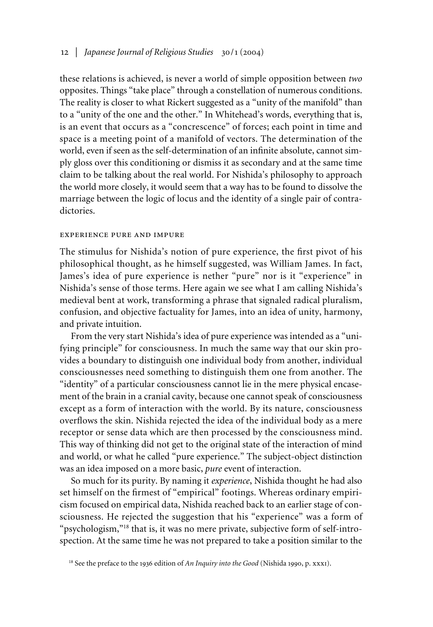## 12 | *Japanese Journal of Religious Studies* 30/1 (2004)

these relations is achieved, is never a world of simple opposition between *two* opposites. Things "take place" through a constellation of numerous conditions. The reality is closer to what Rickert suggested as a "unity of the manifold" than to a "unity of the one and the other." In Whitehead's words, everything that is, is an event that occurs as a "concrescence" of forces; each point in time and space is a meeting point of a manifold of vectors. The determination of the world, even if seen as the self-determination of an infinite absolute, cannot simply gloss over this conditioning or dismiss it as secondary and at the same time claim to be talking about the real world. For Nishida's philosophy to approach the world more closely, it would seem that a way has to be found to dissolve the marriage between the logic of locus and the identity of a single pair of contradictories.

#### experience pure and impure

The stimulus for Nishida's notion of pure experience, the first pivot of his philosophical thought, as he himself suggested, was William James. In fact, James's idea of pure experience is nether "pure" nor is it "experience" in Nishida's sense of those terms. Here again we see what I am calling Nishida's medieval bent at work, transforming a phrase that signaled radical pluralism, confusion, and objective factuality for James, into an idea of unity, harmony, and private intuition.

From the very start Nishida's idea of pure experience was intended as a "unifying principle" for consciousness. In much the same way that our skin provides a boundary to distinguish one individual body from another, individual consciousnesses need something to distinguish them one from another. The "identity" of a particular consciousness cannot lie in the mere physical encasement of the brain in a cranial cavity, because one cannot speak of consciousness except as a form of interaction with the world. By its nature, consciousness overflows the skin. Nishida rejected the idea of the individual body as a mere receptor or sense data which are then processed by the consciousness mind. This way of thinking did not get to the original state of the interaction of mind and world, or what he called "pure experience." The subject-object distinction was an idea imposed on a more basic, *pure* event of interaction.

So much for its purity. By naming it *experience*, Nishida thought he had also set himself on the firmest of "empirical" footings. Whereas ordinary empiricism focused on empirical data, Nishida reached back to an earlier stage of consciousness. He rejected the suggestion that his "experience" was a form of "psychologism,"<sup>18</sup> that is, it was no mere private, subjective form of self-introspection. At the same time he was not prepared to take a position similar to the

<sup>&</sup>lt;sup>18</sup> See the preface to the 1936 edition of *An Inquiry into the Good* (Nishida 1990, p. xxx1).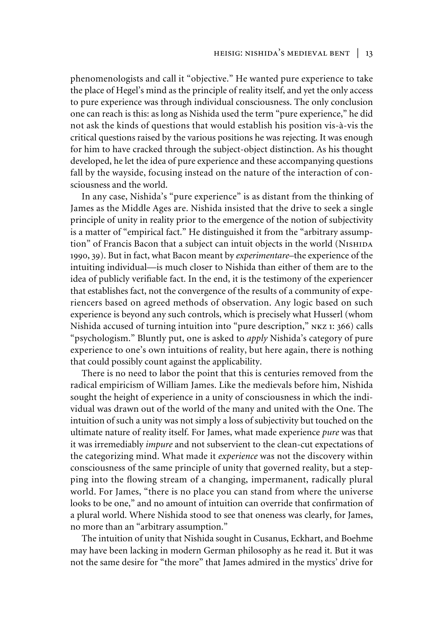phenomenologists and call it "objective." He wanted pure experience to take the place of Hegel's mind as the principle of reality itself, and yet the only access to pure experience was through individual consciousness. The only conclusion one can reach is this: as long as Nishida used the term "pure experience," he did not ask the kinds of questions that would establish his position vis-à-vis the critical questions raised by the various positions he was rejecting. It was enough for him to have cracked through the subject-object distinction. As his thought developed, he let the idea of pure experience and these accompanying questions fall by the wayside, focusing instead on the nature of the interaction of consciousness and the world.

In any case, Nishida's "pure experience" is as distant from the thinking of James as the Middle Ages are. Nishida insisted that the drive to seek a single principle of unity in reality prior to the emergence of the notion of subjectivity is a matter of "empirical fact." He distinguished it from the "arbitrary assumption" of Francis Bacon that a subject can intuit objects in the world (NISHIDA 1990, 39). But in fact, what Bacon meant by *experimentare*–the experience of the intuiting individual—is much closer to Nishida than either of them are to the idea of publicly verifiable fact. In the end, it is the testimony of the experiencer that establishes fact, not the convergence of the results of a community of experiencers based on agreed methods of observation. Any logic based on such experience is beyond any such controls, which is precisely what Husserl (whom Nishida accused of turning intuition into "pure description," nkz 1: 366) calls "psychologism." Bluntly put, one is asked to *apply* Nishida's category of pure experience to one's own intuitions of reality, but here again, there is nothing that could possibly count against the applicability.

There is no need to labor the point that this is centuries removed from the radical empiricism of William James. Like the medievals before him, Nishida sought the height of experience in a unity of consciousness in which the individual was drawn out of the world of the many and united with the One. The intuition of such a unity was not simply a loss of subjectivity but touched on the ultimate nature of reality itself. For James, what made experience *pure* was that it was irremediably *impure* and not subservient to the clean-cut expectations of the categorizing mind. What made it *experience* was not the discovery within consciousness of the same principle of unity that governed reality, but a stepping into the flowing stream of a changing, impermanent, radically plural world. For James, "there is no place you can stand from where the universe looks to be one," and no amount of intuition can override that confirmation of a plural world. Where Nishida stood to see that oneness was clearly, for James, no more than an "arbitrary assumption."

The intuition of unity that Nishida sought in Cusanus, Eckhart, and Boehme may have been lacking in modern German philosophy as he read it. But it was not the same desire for "the more" that James admired in the mystics' drive for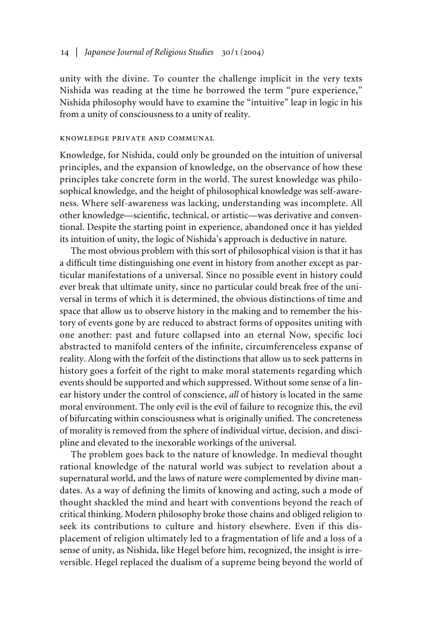unity with the divine. To counter the challenge implicit in the very texts Nishida was reading at the time he borrowed the term "pure experience," Nishida philosophy would have to examine the "intuitive" leap in logic in his from a unity of consciousness to a unity of reality.

#### knowledge private and communal

Knowledge, for Nishida, could only be grounded on the intuition of universal principles, and the expansion of knowledge, on the observance of how these principles take concrete form in the world. The surest knowledge was philosophical knowledge, and the height of philosophical knowledge was self-awareness. Where self-awareness was lacking, understanding was incomplete. All other knowledge—scientific, technical, or artistic—was derivative and conventional. Despite the starting point in experience, abandoned once it has yielded its intuition of unity, the logic of Nishida's approach is deductive in nature.

The most obvious problem with this sort of philosophical vision is that it has a difficult time distinguishing one event in history from another except as particular manifestations of a universal. Since no possible event in history could ever break that ultimate unity, since no particular could break free of the universal in terms of which it is determined, the obvious distinctions of time and space that allow us to observe history in the making and to remember the history of events gone by are reduced to abstract forms of opposites uniting with one another: past and future collapsed into an eternal Now, specific loci abstracted to manifold centers of the infinite, circumferenceless expanse of reality. Along with the forfeit of the distinctions that allow us to seek patterns in history goes a forfeit of the right to make moral statements regarding which events should be supported and which suppressed. Without some sense of a linear history under the control of conscience, *all* of history is located in the same moral environment. The only evil is the evil of failure to recognize this, the evil of bifurcating within consciousness what is originally unified. The concreteness of morality is removed from the sphere of individual virtue, decision, and discipline and elevated to the inexorable workings of the universal.

The problem goes back to the nature of knowledge. In medieval thought rational knowledge of the natural world was subject to revelation about a supernatural world, and the laws of nature were complemented by divine mandates. As a way of defining the limits of knowing and acting, such a mode of thought shackled the mind and heart with conventions beyond the reach of critical thinking. Modern philosophy broke those chains and obliged religion to seek its contributions to culture and history elsewhere. Even if this displacement of religion ultimately led to a fragmentation of life and a loss of a sense of unity, as Nishida, like Hegel before him, recognized, the insight is irreversible. Hegel replaced the dualism of a supreme being beyond the world of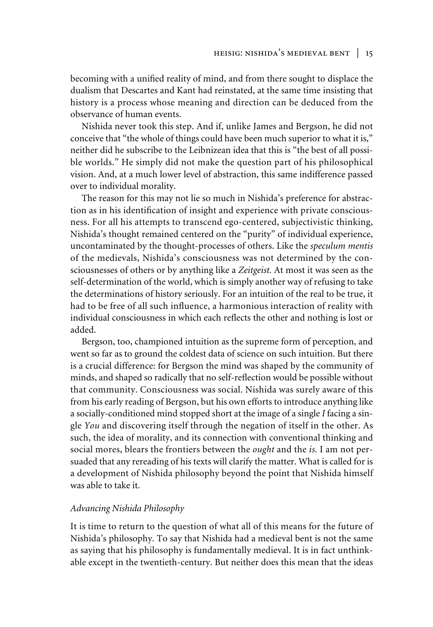becoming with a unified reality of mind, and from there sought to displace the dualism that Descartes and Kant had reinstated, at the same time insisting that history is a process whose meaning and direction can be deduced from the observance of human events.

Nishida never took this step. And if, unlike James and Bergson, he did not conceive that "the whole of things could have been much superior to what it is," neither did he subscribe to the Leibnizean idea that this is "the best of all possible worlds." He simply did not make the question part of his philosophical vision. And, at a much lower level of abstraction, this same indifference passed over to individual morality.

The reason for this may not lie so much in Nishida's preference for abstraction as in his identification of insight and experience with private consciousness. For all his attempts to transcend ego-centered, subjectivistic thinking, Nishida's thought remained centered on the "purity" of individual experience, uncontaminated by the thought-processes of others. Like the *speculum mentis* of the medievals, Nishida's consciousness was not determined by the consciousnesses of others or by anything like a *Zeitgeist.* At most it was seen as the self-determination of the world, which is simply another way of refusing to take the determinations of history seriously. For an intuition of the real to be true, it had to be free of all such influence, a harmonious interaction of reality with individual consciousness in which each reflects the other and nothing is lost or added.

Bergson, too, championed intuition as the supreme form of perception, and went so far as to ground the coldest data of science on such intuition. But there is a crucial difference: for Bergson the mind was shaped by the community of minds, and shaped so radically that no self-reflection would be possible without that community. Consciousness was social. Nishida was surely aware of this from his early reading of Bergson, but his own efforts to introduce anything like a socially-conditioned mind stopped short at the image of a single *I* facing a single *You* and discovering itself through the negation of itself in the other. As such, the idea of morality, and its connection with conventional thinking and social mores, blears the frontiers between the *ought* and the *is.* I am not persuaded that any rereading of his texts will clarify the matter. What is called for is a development of Nishida philosophy beyond the point that Nishida himself was able to take it.

## *Advancing Nishida Philosophy*

It is time to return to the question of what all of this means for the future of Nishida's philosophy. To say that Nishida had a medieval bent is not the same as saying that his philosophy is fundamentally medieval. It is in fact unthinkable except in the twentieth-century. But neither does this mean that the ideas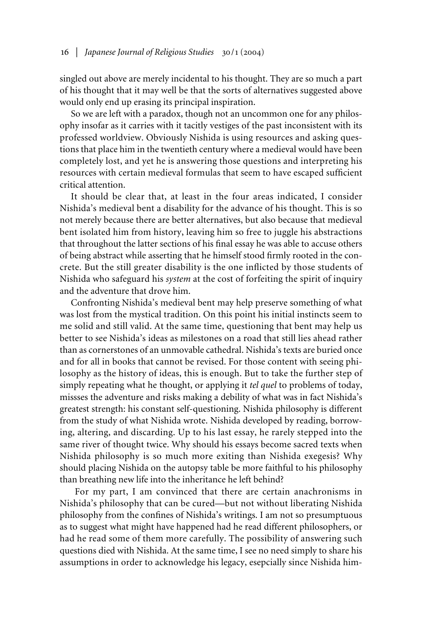singled out above are merely incidental to his thought. They are so much a part of his thought that it may well be that the sorts of alternatives suggested above would only end up erasing its principal inspiration.

So we are left with a paradox, though not an uncommon one for any philosophy insofar as it carries with it tacitly vestiges of the past inconsistent with its professed worldview. Obviously Nishida is using resources and asking questions that place him in the twentieth century where a medieval would have been completely lost, and yet he is answering those questions and interpreting his resources with certain medieval formulas that seem to have escaped sufficient critical attention.

It should be clear that, at least in the four areas indicated, I consider Nishida's medieval bent a disability for the advance of his thought. This is so not merely because there are better alternatives, but also because that medieval bent isolated him from history, leaving him so free to juggle his abstractions that throughout the latter sections of his final essay he was able to accuse others of being abstract while asserting that he himself stood firmly rooted in the concrete. But the still greater disability is the one inflicted by those students of Nishida who safeguard his *system* at the cost of forfeiting the spirit of inquiry and the adventure that drove him.

Confronting Nishida's medieval bent may help preserve something of what was lost from the mystical tradition. On this point his initial instincts seem to me solid and still valid. At the same time, questioning that bent may help us better to see Nishida's ideas as milestones on a road that still lies ahead rather than as cornerstones of an unmovable cathedral. Nishida's texts are buried once and for all in books that cannot be revised. For those content with seeing philosophy as the history of ideas, this is enough. But to take the further step of simply repeating what he thought, or applying it *tel quel* to problems of today, missses the adventure and risks making a debility of what was in fact Nishida's greatest strength: his constant self-questioning. Nishida philosophy is different from the study of what Nishida wrote. Nishida developed by reading, borrowing, altering, and discarding. Up to his last essay, he rarely stepped into the same river of thought twice. Why should his essays become sacred texts when Nishida philosophy is so much more exiting than Nishida exegesis? Why should placing Nishida on the autopsy table be more faithful to his philosophy than breathing new life into the inheritance he left behind?

For my part, I am convinced that there are certain anachronisms in Nishida's philosophy that can be cured—but not without liberating Nishida philosophy from the confines of Nishida's writings. I am not so presumptuous as to suggest what might have happened had he read different philosophers, or had he read some of them more carefully. The possibility of answering such questions died with Nishida. At the same time, I see no need simply to share his assumptions in order to acknowledge his legacy, esepcially since Nishida him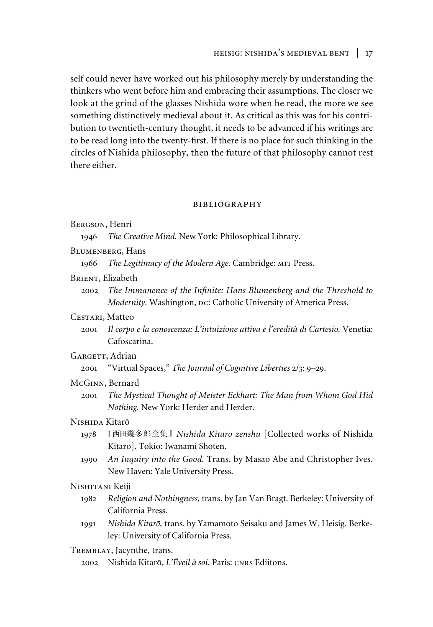self could never have worked out his philosophy merely by understanding the thinkers who went before him and embracing their assumptions. The closer we look at the grind of the glasses Nishida wore when he read, the more we see something distinctively medieval about it. As critical as this was for his contribution to twentieth-century thought, it needs to be advanced if his writings are to be read long into the twenty-first. If there is no place for such thinking in the circles of Nishida philosophy, then the future of that philosophy cannot rest there either.

#### bibliography

| BERGSON, Henri |  |
|----------------|--|
|----------------|--|

1946 *The Creative Mind.* New York: Philosophical Library.

- Blumenberg, Hans
	- 1966 *The Legitimacy of the Modern Age.* Cambridge: mit Press.
- BRIENT, Elizabeth
	- 2002 *The Immanence of the In³nite: Hans Blumenberg and the Threshold to Modernity.* Washington, Dc: Catholic University of America Press.

### Cestari, Matteo

2001 *Il corpo e la conoscenza: L'intuizione attiva e l'eredità di Cartesio.* Venetia: Cafoscarina.

# GARGETT, Adrian

2001 "Virtual Spaces," *The Journal of Cognitive Liberties* 2/3: 9–29.

## McGinn, Bernard

2001 *The Mystical Thought of Meister Eckhart: The Man from Whom God Hid Nothing.* New York: Herder and Herder.

# Nishida Kitarõ

- 1978 『西田幾多郎全集』 Nishida Kitarō zenshū [Collected works of Nishida Kitarõ]. Tokio: Iwanami Shoten.
- 1990 *An Inquiry into the Good.* Trans. by Masao Abe and Christopher Ives. New Haven: Yale University Press.

# Nishitani Keiji

- 1982 *Religion and Nothingness*, trans. by Jan Van Bragt. Berkeley: University of California Press.
- 1991 *Nishida Kitarõ,* trans. by Yamamoto Seisaku and James W. Heisig. Berkeley: University of California Press.

## Tremblay, Jacynthe, trans.

2002 Nishida Kitarõ, *L'Éveil à soi*. Paris: cnrs Ediitons.